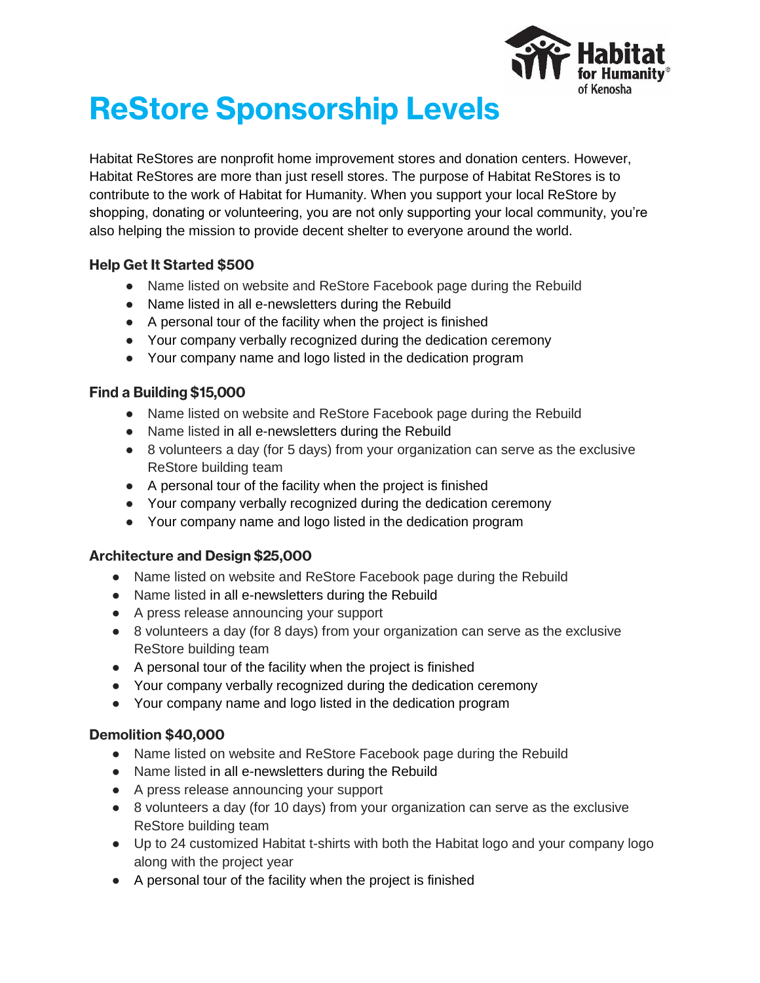

# **ReStore Sponsorship Levels**

Habitat ReStores are nonprofit home improvement stores and donation centers. However, Habitat ReStores are more than just resell stores. The purpose of Habitat ReStores is to contribute to the work of Habitat for Humanity. When you support your local ReStore by shopping, donating or volunteering, you are not only supporting your local community, you're also helping the mission to provide decent shelter to everyone around the world.

# **Help Get It Started \$500**

- Name listed on website and ReStore Facebook page during the Rebuild
- Name listed in all e-newsletters during the Rebuild
- A personal tour of the facility when the project is finished
- Your company verbally recognized during the dedication ceremony
- Your company name and logo listed in the dedication program

# Find a Building \$15,000

- Name listed on website and ReStore Facebook page during the Rebuild
- Name listed in all e-newsletters during the Rebuild
- 8 volunteers a day (for 5 days) from your organization can serve as the exclusive ReStore building team
- A personal tour of the facility when the project is finished
- Your company verbally recognized during the dedication ceremony
- Your company name and logo listed in the dedication program

#### **Architecture and Design \$25,000**

- Name listed on website and ReStore Facebook page during the Rebuild
- Name listed in all e-newsletters during the Rebuild
- A press release announcing your support
- 8 volunteers a day (for 8 days) from your organization can serve as the exclusive ReStore building team
- A personal tour of the facility when the project is finished
- Your company verbally recognized during the dedication ceremony
- Your company name and logo listed in the dedication program

# Demolition \$40,000

- Name listed on website and ReStore Facebook page during the Rebuild
- Name listed in all e-newsletters during the Rebuild
- A press release announcing your support
- 8 volunteers a day (for 10 days) from your organization can serve as the exclusive ReStore building team
- Up to 24 customized Habitat t-shirts with both the Habitat logo and your company logo along with the project year
- A personal tour of the facility when the project is finished